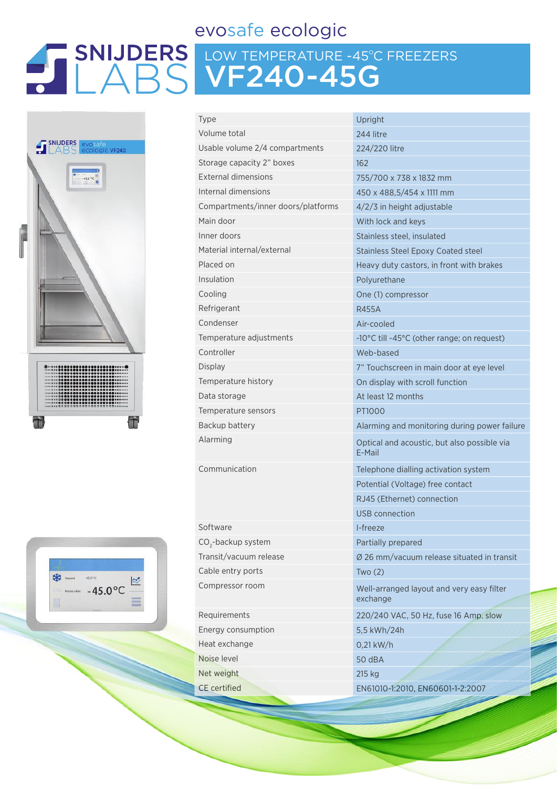## evosafe ecologic

## LOW TEMPERATURE -45ºC FREEZERS VF240-45G





| <b>Type</b>                        | Upright                                               |  |  |
|------------------------------------|-------------------------------------------------------|--|--|
| Volume total                       | 244 litre                                             |  |  |
| Usable volume 2/4 compartments     | 224/220 litre                                         |  |  |
| Storage capacity 2" boxes          | 162                                                   |  |  |
| <b>External dimensions</b>         | 755/700 x 738 x 1832 mm                               |  |  |
| Internal dimensions                | 450 x 488,5/454 x 1111 mm                             |  |  |
| Compartments/inner doors/platforms | $4/2/3$ in height adjustable                          |  |  |
| Main door                          | With lock and keys                                    |  |  |
| Inner doors                        | Stainless steel, insulated                            |  |  |
| Material internal/external         | <b>Stainless Steel Epoxy Coated steel</b>             |  |  |
| Placed on                          | Heavy duty castors, in front with brakes              |  |  |
| Insulation                         | Polyurethane                                          |  |  |
| Cooling                            | One (1) compressor                                    |  |  |
| Refrigerant                        | <b>R455A</b>                                          |  |  |
| Condenser                          | Air-cooled                                            |  |  |
| Temperature adjustments            | -10°C till -45°C (other range; on request)            |  |  |
| Controller                         | Web-based                                             |  |  |
| Display                            | 7" Touchscreen in main door at eye level              |  |  |
| Temperature history                | On display with scroll function                       |  |  |
| Data storage                       | At least 12 months                                    |  |  |
| Temperature sensors                | PT1000                                                |  |  |
| Backup battery                     | Alarming and monitoring during power failure          |  |  |
| Alarming                           | Optical and acoustic, but also possible via<br>E-Mail |  |  |
| Communication                      | Telephone dialling activation system                  |  |  |
|                                    | Potential (Voltage) free contact                      |  |  |
|                                    | RJ45 (Ethernet) connection                            |  |  |
|                                    | USB connection                                        |  |  |
| Software                           | I-freeze                                              |  |  |
| CO <sub>2</sub> -backup system     | Partially prepared                                    |  |  |
| Transit/vacuum release             | Ø 26 mm/vacuum release situated in transit            |  |  |
| Cable entry ports                  | Two(2)                                                |  |  |
| Compressor room                    | Well-arranged layout and very easy filter<br>exchange |  |  |
| Requirements                       | 220/240 VAC, 50 Hz, fuse 16 Amp. slow                 |  |  |
| Energy consumption                 | 5,5 kWh/24h                                           |  |  |
| Heat exchange                      | $0,21$ kW/h                                           |  |  |
| Noise level                        | 50 dBA                                                |  |  |
| Net weight                         | 215 kg                                                |  |  |
| <b>CE</b> certified                | EN61010-1:2010, EN60601-1-2:2007                      |  |  |
|                                    |                                                       |  |  |